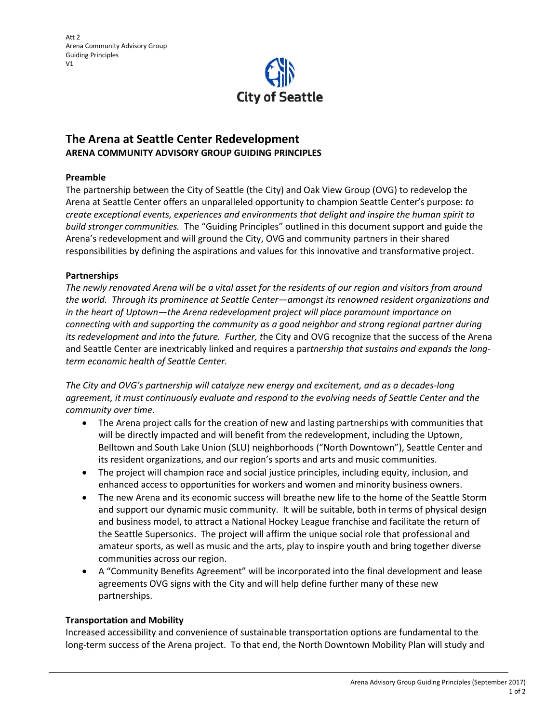

# **The Arena at Seattle Center Redevelopment ARENA COMMUNITY ADVISORY GROUP GUIDING PRINCIPLES**

### **Preamble**

The partnership between the City of Seattle (the City) and Oak View Group (OVG) to redevelop the Arena at Seattle Center offers an unparalleled opportunity to champion Seattle Center's purpose: *to create exceptional events, experiences and environments that delight and inspire the human spirit to build stronger communities.* The "Guiding Principles" outlined in this document support and guide the Arena's redevelopment and will ground the City, OVG and community partners in their shared responsibilities by defining the aspirations and values for this innovative and transformative project.

### **Partnerships**

*The newly renovated Arena will be a vital asset for the residents of our region and visitors from around the world. Through its prominence at Seattle Center—amongst its renowned resident organizations and in the heart of Uptown—the Arena redevelopment project will place paramount importance on connecting with and supporting the community as a good neighbor and strong regional partner during its redevelopment and into the future. Further, t*he City and OVG recognize that the success of the Arena and Seattle Center are inextricably linked and requires a par*tnership that sustains and expands the longterm economic health of Seattle Center.*

*The City and OVG's partnership will catalyze new energy and excitement, and as a decades-long agreement, it must continuously evaluate and respond to the evolving needs of Seattle Center and the community over time*.

- The Arena project calls for the creation of new and lasting partnerships with communities that will be directly impacted and will benefit from the redevelopment, including the Uptown, Belltown and South Lake Union (SLU) neighborhoods ("North Downtown"), Seattle Center and its resident organizations, and our region's sports and arts and music communities.
- The project will champion race and social justice principles, including equity, inclusion, and enhanced access to opportunities for workers and women and minority business owners.
- The new Arena and its economic success will breathe new life to the home of the Seattle Storm and support our dynamic music community. It will be suitable, both in terms of physical design and business model, to attract a National Hockey League franchise and facilitate the return of the Seattle Supersonics. The project will affirm the unique social role that professional and amateur sports, as well as music and the arts, play to inspire youth and bring together diverse communities across our region.
- A "Community Benefits Agreement" will be incorporated into the final development and lease agreements OVG signs with the City and will help define further many of these new partnerships.

### **Transportation and Mobility**

Increased accessibility and convenience of sustainable transportation options are fundamental to the long-term success of the Arena project. To that end, the North Downtown Mobility Plan will study and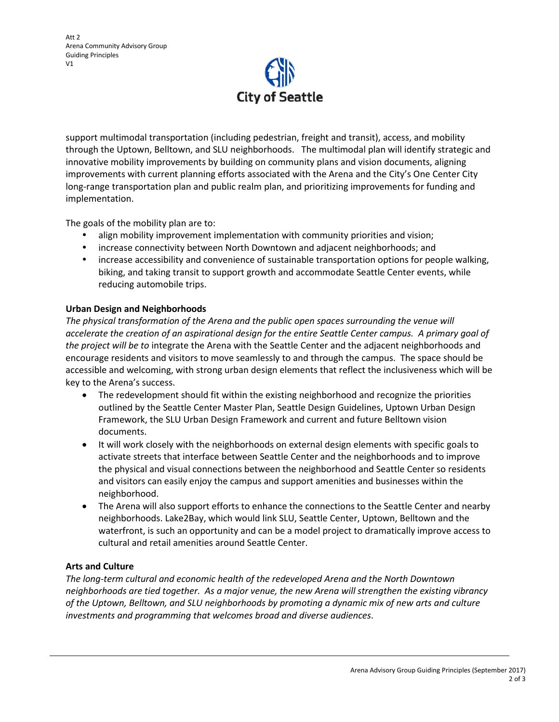

support multimodal transportation (including pedestrian, freight and transit), access, and mobility through the Uptown, Belltown, and SLU neighborhoods. The multimodal plan will identify strategic and innovative mobility improvements by building on community plans and vision documents, aligning improvements with current planning efforts associated with the Arena and the City's One Center City long-range transportation plan and public realm plan, and prioritizing improvements for funding and implementation.

The goals of the mobility plan are to:

- align mobility improvement implementation with community priorities and vision;
- increase connectivity between North Downtown and adjacent neighborhoods; and
- increase accessibility and convenience of sustainable transportation options for people walking, biking, and taking transit to support growth and accommodate Seattle Center events, while reducing automobile trips.

## **Urban Design and Neighborhoods**

*The physical transformation of the Arena and the public open spaces surrounding the venue will accelerate the creation of an aspirational design for the entire Seattle Center campus. A primary goal of the project will be to* integrate the Arena with the Seattle Center and the adjacent neighborhoods and encourage residents and visitors to move seamlessly to and through the campus. The space should be accessible and welcoming, with strong urban design elements that reflect the inclusiveness which will be key to the Arena's success.

- The redevelopment should fit within the existing neighborhood and recognize the priorities outlined by the Seattle Center Master Plan, Seattle Design Guidelines, Uptown Urban Design Framework, the SLU Urban Design Framework and current and future Belltown vision documents.
- It will work closely with the neighborhoods on external design elements with specific goals to activate streets that interface between Seattle Center and the neighborhoods and to improve the physical and visual connections between the neighborhood and Seattle Center so residents and visitors can easily enjoy the campus and support amenities and businesses within the neighborhood.
- The Arena will also support efforts to enhance the connections to the Seattle Center and nearby neighborhoods. Lake2Bay, which would link SLU, Seattle Center, Uptown, Belltown and the waterfront, is such an opportunity and can be a model project to dramatically improve access to cultural and retail amenities around Seattle Center.

### **Arts and Culture**

*The long-term cultural and economic health of the redeveloped Arena and the North Downtown neighborhoods are tied together. As a major venue, the new Arena will strengthen the existing vibrancy of the Uptown, Belltown, and SLU neighborhoods by promoting a dynamic mix of new arts and culture investments and programming that welcomes broad and diverse audiences*.